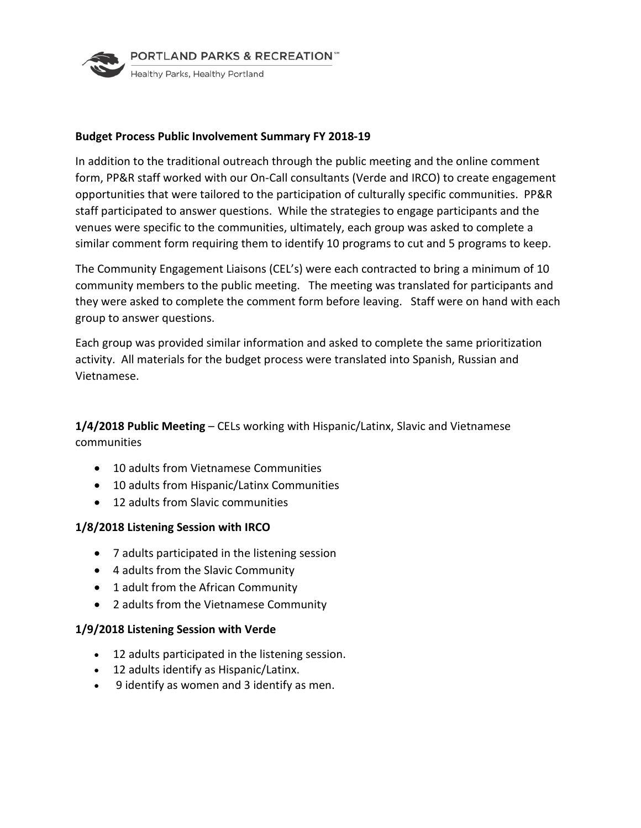

## **Budget Process Public Involvement Summary FY 2018-19**

In addition to the traditional outreach through the public meeting and the online comment form, PP&R staff worked with our On-Call consultants (Verde and IRCO) to create engagement opportunities that were tailored to the participation of culturally specific communities. PP&R staff participated to answer questions. While the strategies to engage participants and the venues were specific to the communities, ultimately, each group was asked to complete a similar comment form requiring them to identify 10 programs to cut and 5 programs to keep.

The Community Engagement Liaisons (CEL's) were each contracted to bring a minimum of 10 community members to the public meeting. The meeting was translated for participants and they were asked to complete the comment form before leaving. Staff were on hand with each group to answer questions.

Each group was provided similar information and asked to complete the same prioritization activity. All materials for the budget process were translated into Spanish, Russian and Vietnamese.

**1/4/2018 Public Meeting** – CELs working with Hispanic/Latinx, Slavic and Vietnamese communities

- 10 adults from Vietnamese Communities
- 10 adults from Hispanic/Latinx Communities
- 12 adults from Slavic communities

## **1/8/2018 Listening Session with IRCO**

- 7 adults participated in the listening session
- 4 adults from the Slavic Community
- 1 adult from the African Community
- 2 adults from the Vietnamese Community

## **1/9/2018 Listening Session with Verde**

- 12 adults participated in the listening session.
- 12 adults identify as Hispanic/Latinx.
- 9 identify as women and 3 identify as men.